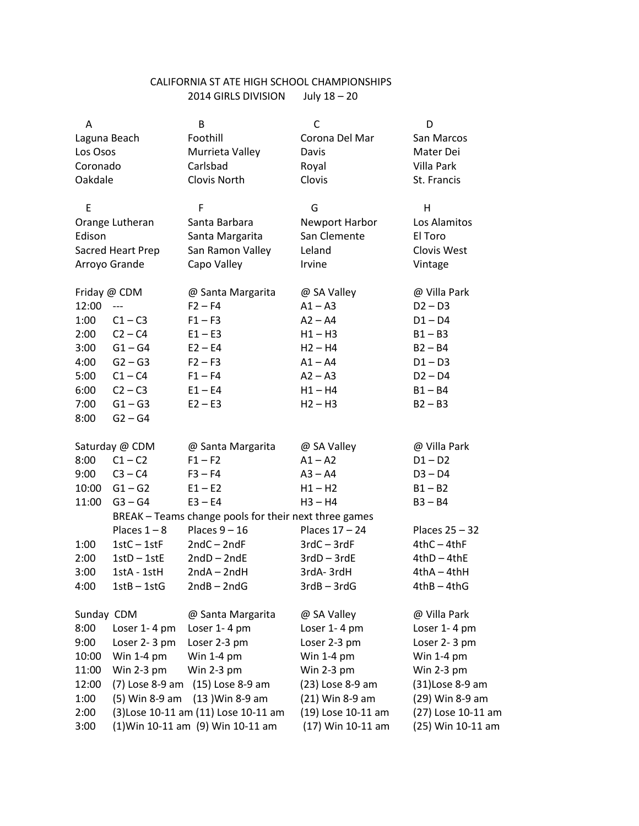## CALIFORNIA ST ATE HIGH SCHOOL CHAMPIONSHIPS 2014 GIRLS DIVISION July 18 – 20

| Α                 |                | B                                                                        | C                     | D                  |  |
|-------------------|----------------|--------------------------------------------------------------------------|-----------------------|--------------------|--|
| Laguna Beach      |                | Foothill                                                                 | Corona Del Mar        | San Marcos         |  |
| Los Osos          |                | Murrieta Valley                                                          | Davis                 | Mater Dei          |  |
| Coronado          |                | Carlsbad                                                                 | Villa Park<br>Royal   |                    |  |
| Oakdale           |                | Clovis North                                                             | Clovis                | St. Francis        |  |
|                   |                |                                                                          |                       |                    |  |
| E                 |                | F                                                                        | G                     | Н                  |  |
| Orange Lutheran   |                | Santa Barbara                                                            | <b>Newport Harbor</b> | Los Alamitos       |  |
| Edison            |                | Santa Margarita                                                          | San Clemente          | El Toro            |  |
| Sacred Heart Prep |                | San Ramon Valley                                                         | Leland                | Clovis West        |  |
|                   | Arroyo Grande  | Capo Valley                                                              | Irvine                | Vintage            |  |
|                   | Friday @ CDM   | @ Santa Margarita                                                        | @ SA Valley           | @ Villa Park       |  |
| 12:00             | $---$          | $F2 - F4$                                                                | $A1 - A3$             | $D2 - D3$          |  |
| 1:00              | $C1 - C3$      | $F1 - F3$                                                                | $A2 - A4$             | $D1 - D4$          |  |
| 2:00              | $C2 - C4$      | $E1 - E3$                                                                | $H1 - H3$             | $B1 - B3$          |  |
| 3:00              | $G1 - G4$      | $E2 - E4$                                                                | $H2 - H4$             | $B2 - B4$          |  |
| 4:00              | $G2 - G3$      | $F2 - F3$                                                                | $A1 - A4$             | $D1 - D3$          |  |
| 5:00              | $C1 - C4$      | $F1 - F4$                                                                | $A2 - A3$             | $D2 - D4$          |  |
| 6:00              | $C2 - C3$      | $E1 - E4$                                                                | $H1 - H4$             | $B1 - B4$          |  |
| 7:00              | $G1 - G3$      | $E2 - E3$                                                                | $H2 - H3$             | $B2 - B3$          |  |
| 8:00              | $G2 - G4$      |                                                                          |                       |                    |  |
|                   | Saturday @ CDM | @ Santa Margarita                                                        | @ SA Valley           | @ Villa Park       |  |
| 8:00              | $C1 - C2$      | $F1 - F2$                                                                | $A1 - A2$             | $D1 - D2$          |  |
| 9:00              | $C3 - C4$      | $F3 - F4$                                                                | $A3 - A4$             | $D3 - D4$          |  |
| 10:00             | $G1 - G2$      | $E1 - E2$                                                                | $H1 - H2$             | $B1 - B2$          |  |
| 11:00             | $G3 - G4$      | $E3 - E4$                                                                | $H3 - H4$             | $B3 - B4$          |  |
|                   |                |                                                                          |                       |                    |  |
|                   | Places $1 - 8$ | BREAK - Teams change pools for their next three games<br>Places $9 - 16$ | Places 17 - 24        | Places 25 - 32     |  |
| 1:00              | $1stC - 1stF$  | $2ndC - 2ndF$                                                            | $3rdC - 3rdF$         | $4thC - 4thF$      |  |
| 2:00              | $1stD - 1stE$  | $2ndD - 2ndE$                                                            | $3rdD - 3rdE$         | $4thD - 4thE$      |  |
| 3:00              | 1stA - 1stH    | $2ndA - 2ndH$                                                            | 3rdA-3rdH             | $4thA - 4thH$      |  |
| 4:00              | $1stB - 1stG$  | $2ndB - 2ndG$                                                            | $3rdB - 3rdG$         | $4thB - 4thG$      |  |
|                   |                |                                                                          |                       |                    |  |
| Sunday CDM        |                | @ Santa Margarita                                                        | @ SA Valley           | @ Villa Park       |  |
| 8:00              | Loser 1-4 pm   | Loser 1-4 pm                                                             | Loser 1-4 pm          | Loser 1-4 pm       |  |
| 9:00              | Loser 2-3 pm   | Loser 2-3 pm                                                             | Loser 2-3 pm          | Loser 2-3 pm       |  |
| 10:00             | Win $1-4$ pm   | Win $1-4$ pm                                                             | Win $1-4$ pm          | Win $1-4$ pm       |  |
| 11:00             | Win 2-3 $pm$   | Win $2-3$ pm                                                             | Win $2-3$ pm          | Win 2-3 pm         |  |
| 12:00             |                | (7) Lose 8-9 am (15) Lose 8-9 am                                         | (23) Lose 8-9 am      | (31)Lose 8-9 am    |  |
| 1:00              | (5) Win 8-9 am | (13) Win 8-9 am                                                          | (21) Win 8-9 am       | (29) Win 8-9 am    |  |
| 2:00              |                | (3) Lose 10-11 am (11) Lose 10-11 am                                     | (19) Lose 10-11 am    | (27) Lose 10-11 am |  |
| 3:00              |                | (1) Win 10-11 am (9) Win 10-11 am                                        | (17) Win 10-11 am     | (25) Win 10-11 am  |  |